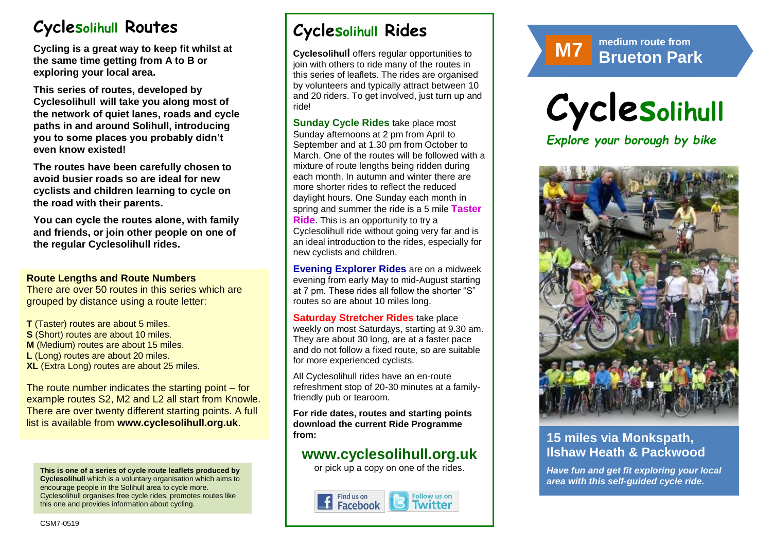# **Cyclesolihull Routes**

**Cycling is a great way to keep fit whilst at the same time getting from A to B or exploring your local area.** 

**This series of routes, developed by Cyclesolihull will take you along most of the network of quiet lanes, roads and cycle paths in and around Solihull, introducing you to some places you probably didn't even know existed!**

**The routes have been carefully chosen to avoid busier roads so are ideal for new cyclists and children learning to cycle on the road with their parents.** 

**You can cycle the routes alone, with family and friends, or join other people on one of the regular Cyclesolihull rides.**

#### **Route Lengths and Route Numbers**

There are over 50 routes in this series which are grouped by distance using a route letter:

**T** (Taster) routes are about 5 miles. **S** (Short) routes are about 10 miles. **M** (Medium) routes are about 15 miles. **L** (Long) routes are about 20 miles. **XL** (Extra Long) routes are about 25 miles.

The route number indicates the starting point – for example routes S2, M2 and L2 all start from Knowle. There are over twenty different starting points. A full list is available from **www.cyclesolihull.org.uk**.

**This is one of a series of cycle route leaflets produced by Cyclesolihull** which is a voluntary organisation which aims to encourage people in the Solihull area to cycle more. Cyclesolihull organises free cycle rides, promotes routes like this one and provides information about cycling.

# **Cyclesolihull Rides**

**Cyclesolihull** offers regular opportunities to join with others to ride many of the routes in this series of leaflets. The rides are organised by volunteers and typically attract between 10 and 20 riders. To get involved, just turn up and ride!

**Sunday Cycle Rides** take place most Sunday afternoons at 2 pm from April to September and at 1.30 pm from October to March. One of the routes will be followed with a mixture of route lengths being ridden during each month. In autumn and winter there are more shorter rides to reflect the reduced daylight hours. One Sunday each month in spring and summer the ride is a 5 mile **Taster Ride**. This is an opportunity to try a Cyclesolihull ride without going very far and is an ideal introduction to the rides, especially for new cyclists and children.

**Evening Explorer Rides** are on a midweek evening from early May to mid-August starting at 7 pm. These rides all follow the shorter "S" routes so are about 10 miles long.

**Saturday Stretcher Rides** take place weekly on most Saturdays, starting at 9.30 am. They are about 30 long, are at a faster pace and do not follow a fixed route, so are suitable for more experienced cyclists.

All Cyclesolihull rides have an en-route refreshment stop of 20-30 minutes at a familyfriendly pub or tearoom.

**For ride dates, routes and starting points download the current Ride Programme from:** 

# **www.cyclesolihull.org.uk**

or pick up a copy on one of the rides.







## **15 miles via Monkspath, Ilshaw Heath & Packwood**

*Have fun and get fit exploring your local area with this self-guided cycle ride.*